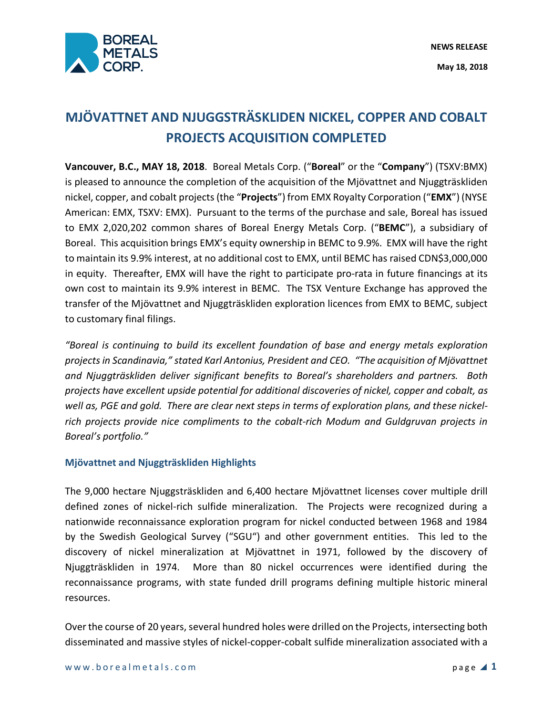

# **MJÖVATTNET AND NJUGGSTRÄSKLIDEN NICKEL, COPPER AND COBALT PROJECTS ACQUISITION COMPLETED**

**Vancouver, B.C., MAY 18, 2018**. Boreal Metals Corp. ("**Boreal**" or the "**Company**") (TSXV:BMX) is pleased to announce the completion of the acquisition of the Mjövattnet and Njuggträskliden nickel, copper, and cobalt projects(the "**Projects**") from EMX Royalty Corporation ("**EMX**") (NYSE American: EMX, TSXV: EMX). Pursuant to the terms of the purchase and sale, Boreal has issued to EMX 2,020,202 common shares of Boreal Energy Metals Corp. ("**BEMC**"), a subsidiary of Boreal. This acquisition brings EMX's equity ownership in BEMC to 9.9%. EMX will have the right to maintain its 9.9% interest, at no additional cost to EMX, until BEMC has raised CDN\$3,000,000 in equity. Thereafter, EMX will have the right to participate pro-rata in future financings at its own cost to maintain its 9.9% interest in BEMC. The TSX Venture Exchange has approved the transfer of the Mjövattnet and Njuggträskliden exploration licences from EMX to BEMC, subject to customary final filings.

*"Boreal is continuing to build its excellent foundation of base and energy metals exploration projects in Scandinavia," stated Karl Antonius, President and CEO. "The acquisition of Mjövattnet and Njuggträskliden deliver significant benefits to Boreal's shareholders and partners. Both projects have excellent upside potential for additional discoveries of nickel, copper and cobalt, as well as, PGE and gold. There are clear next steps in terms of exploration plans, and these nickelrich projects provide nice compliments to the cobalt-rich Modum and Guldgruvan projects in Boreal's portfolio."*

## **Mjövattnet and Njuggträskliden Highlights**

The 9,000 hectare Njuggsträskliden and 6,400 hectare Mjövattnet licenses cover multiple drill defined zones of nickel-rich sulfide mineralization. The Projects were recognized during a nationwide reconnaissance exploration program for nickel conducted between 1968 and 1984 by the Swedish Geological Survey ("SGU") and other government entities. This led to the discovery of nickel mineralization at Mjövattnet in 1971, followed by the discovery of Njuggträskliden in 1974. More than 80 nickel occurrences were identified during the reconnaissance programs, with state funded drill programs defining multiple historic mineral resources.

Over the course of 20 years, several hundred holes were drilled on the Projects, intersecting both disseminated and massive styles of nickel-copper-cobalt sulfide mineralization associated with a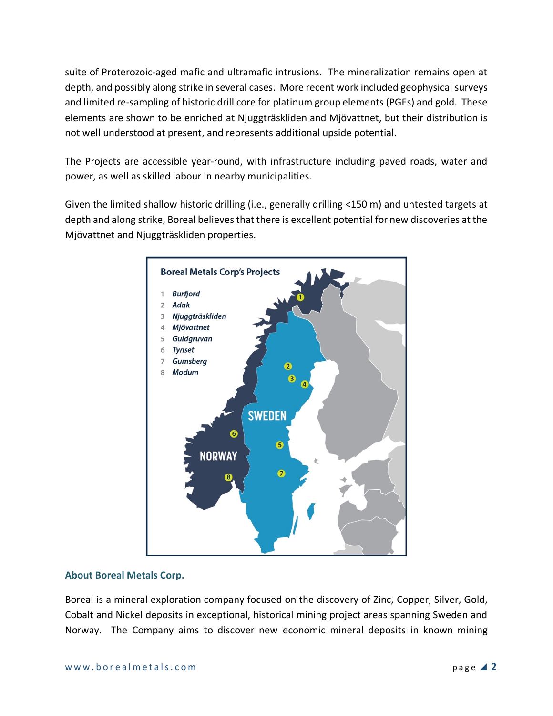suite of Proterozoic-aged mafic and ultramafic intrusions. The mineralization remains open at depth, and possibly along strike in several cases. More recent work included geophysical surveys and limited re-sampling of historic drill core for platinum group elements (PGEs) and gold. These elements are shown to be enriched at Njuggträskliden and Mjövattnet, but their distribution is not well understood at present, and represents additional upside potential.

The Projects are accessible year-round, with infrastructure including paved roads, water and power, as well as skilled labour in nearby municipalities.

Given the limited shallow historic drilling (i.e., generally drilling <150 m) and untested targets at depth and along strike, Boreal believes that there is excellent potential for new discoveries at the Mjövattnet and Njuggträskliden properties.



### **About Boreal Metals Corp.**

Boreal is a mineral exploration company focused on the discovery of Zinc, Copper, Silver, Gold, Cobalt and Nickel deposits in exceptional, historical mining project areas spanning Sweden and Norway. The Company aims to discover new economic mineral deposits in known mining